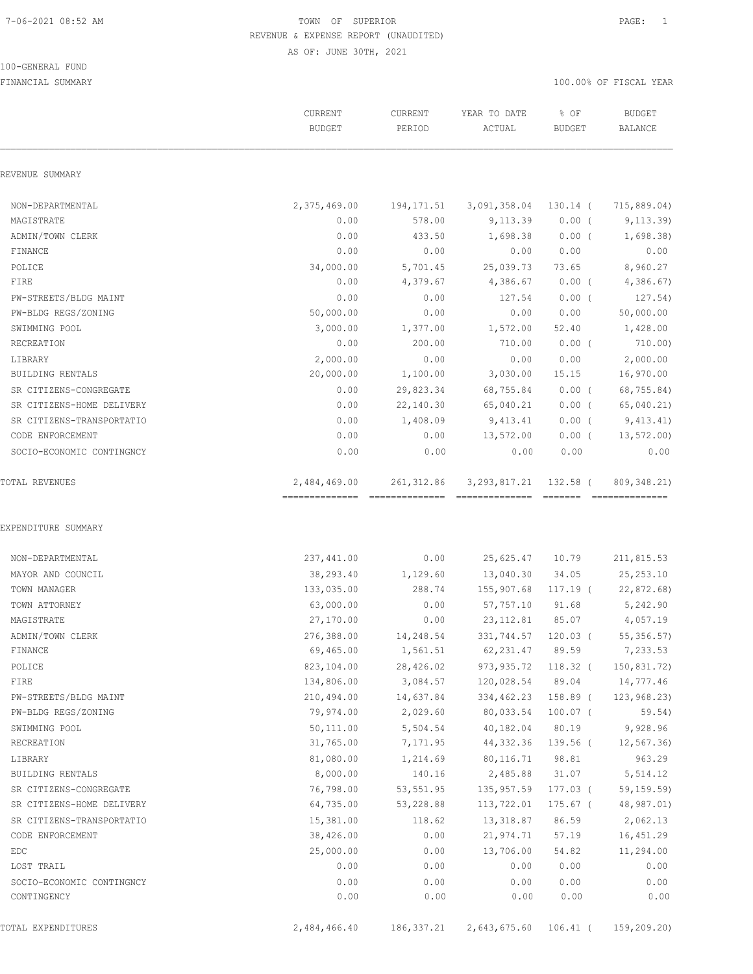#### 100-GENERAL FUND

|                                       | CURRENT<br><b>BUDGET</b>                        | CURRENT<br>PERIOD | YEAR TO DATE<br>ACTUAL            | % OF<br><b>BUDGET</b> | <b>BUDGET</b><br><b>BALANCE</b> |
|---------------------------------------|-------------------------------------------------|-------------------|-----------------------------------|-----------------------|---------------------------------|
| REVENUE SUMMARY                       |                                                 |                   |                                   |                       |                                 |
| NON-DEPARTMENTAL                      | 2,375,469.00                                    | 194,171.51        | 3,091,358.04 130.14 (             |                       | 715,889.04)                     |
| MAGISTRATE                            | 0.00                                            | 578.00            | 9,113.39                          | $0.00$ (              | 9, 113.39                       |
| ADMIN/TOWN CLERK                      | 0.00                                            | 433.50            | 1,698.38                          | $0.00$ (              | 1,698.38)                       |
| FINANCE                               | 0.00                                            | 0.00              | 0.00                              | 0.00                  | 0.00                            |
| POLICE                                | 34,000.00                                       | 5,701.45          | 25,039.73                         | 73.65                 | 8,960.27                        |
| FIRE                                  | 0.00                                            | 4,379.67          | 4,386.67                          | $0.00$ (              | 4,386.67                        |
| PW-STREETS/BLDG MAINT                 | 0.00                                            | 0.00              | 127.54                            | $0.00$ (              | 127.54)                         |
| PW-BLDG REGS/ZONING                   | 50,000.00                                       | 0.00              | 0.00                              | 0.00                  | 50,000.00                       |
| SWIMMING POOL                         | 3,000.00                                        | 1,377.00          | 1,572.00                          | 52.40                 | 1,428.00                        |
| RECREATION                            | 0.00                                            | 200.00            | 710.00                            | $0.00$ (              | 710.00)                         |
| LIBRARY                               | 2,000.00                                        | 0.00              | 0.00                              | 0.00                  | 2,000.00                        |
| BUILDING RENTALS                      | 20,000.00                                       | 1,100.00          | 3,030.00                          | 15.15                 | 16,970.00                       |
| SR CITIZENS-CONGREGATE                | 0.00                                            | 29,823.34         | 68,755.84                         | $0.00$ (              | 68,755.84)                      |
| SR CITIZENS-HOME DELIVERY             | 0.00                                            | 22,140.30         | 65,040.21                         | $0.00$ (              | 65,040.21)                      |
| SR CITIZENS-TRANSPORTATIO             | 0.00                                            | 1,408.09          | 9,413.41                          | $0.00$ (              | 9,413.41)                       |
| CODE ENFORCEMENT                      | 0.00                                            | 0.00              | 13,572.00                         | $0.00$ (              | 13, 572.00                      |
| SOCIO-ECONOMIC CONTINGNCY             | 0.00                                            | 0.00              | 0.00                              | 0.00                  | 0.00                            |
| TOTAL REVENUES                        | 2,484,469.00<br>=============================== | 261, 312.86       | 3, 293, 817.21<br>--------------- | 132.58 (              | 809, 348.21)<br>--------------- |
| EXPENDITURE SUMMARY                   |                                                 |                   |                                   |                       |                                 |
| NON-DEPARTMENTAL<br>MAYOR AND COUNCIL | 237,441.00<br>38,293.40                         | 0.00<br>1,129.60  | 25,625.47<br>13,040.30            | 10.79<br>34.05        | 211,815.53<br>25, 253.10        |
| TOWN MANAGER                          | 133,035.00                                      | 288.74            | 155,907.68                        | 117.19 (              | 22,872.68)                      |
| TOWN ATTORNEY                         | 63,000.00                                       | 0.00              | 57,757.10                         | 91.68                 | 5,242.90                        |
| MAGISTRATE                            | 27,170.00                                       | 0.00              | 23, 112.81                        | 85.07                 | 4,057.19                        |
| ADMIN/TOWN CLERK                      | 276,388.00                                      | 14,248.54         | 331,744.57                        | $120.03$ (            | 55, 356.57                      |
| FINANCE                               | 69,465.00                                       | 1,561.51          | 62,231.47 89.59                   |                       | 7,233.53                        |
| POLICE                                | 823,104.00                                      | 28,426.02         | 973,935.72 118.32 (               |                       | 150,831.72)                     |
| FIRE                                  | 134,806.00                                      | 3,084.57          | 120,028.54 89.04                  |                       | 14,777.46                       |
| PW-STREETS/BLDG MAINT                 | 210,494.00                                      | 14,637.84         | 334,462.23 158.89 (               |                       | 123, 968.23                     |
| PW-BLDG REGS/ZONING                   | 79,974.00                                       | 2,029.60          | 80,033.54 100.07 (                |                       | 59.54)                          |
| SWIMMING POOL                         | 50,111.00                                       | 5,504.54          | 40,182.04 80.19                   |                       | 9,928.96                        |
| RECREATION                            | 31,765.00                                       | 7,171.95          | 44,332.36                         | 139.56 (              | 12,567.36)                      |
| LIBRARY                               | 81,080.00                                       | 1,214.69          | 80,116.71                         | 98.81                 | 963.29                          |
| BUILDING RENTALS                      | 8,000.00                                        | 140.16            | 2,485.88                          | 31.07                 | 5,514.12                        |
| SR CITIZENS-CONGREGATE                | 76,798.00                                       | 53,551.95         | 135,957.59                        | 177.03 (              | 59,159.59)                      |
| SR CITIZENS-HOME DELIVERY             | 64,735.00                                       | 53,228.88         | 113,722.01                        | 175.67 (              | 48,987.01)                      |
| SR CITIZENS-TRANSPORTATIO             | 15,381.00                                       | 118.62            | 13,318.87                         | 86.59                 | 2,062.13                        |
| CODE ENFORCEMENT                      | 38,426.00                                       | 0.00              | 21,974.71                         | 57.19                 | 16,451.29                       |
| EDC                                   | 25,000.00                                       | 0.00              | 13,706.00                         | 54.82                 | 11,294.00                       |
| LOST TRAIL                            | 0.00                                            | 0.00              | 0.00                              | 0.00                  | 0.00                            |
| SOCIO-ECONOMIC CONTINGNCY             | 0.00                                            | 0.00              | 0.00                              | 0.00                  | 0.00                            |
| CONTINGENCY                           | 0.00                                            | 0.00              | 0.00                              | 0.00                  | 0.00                            |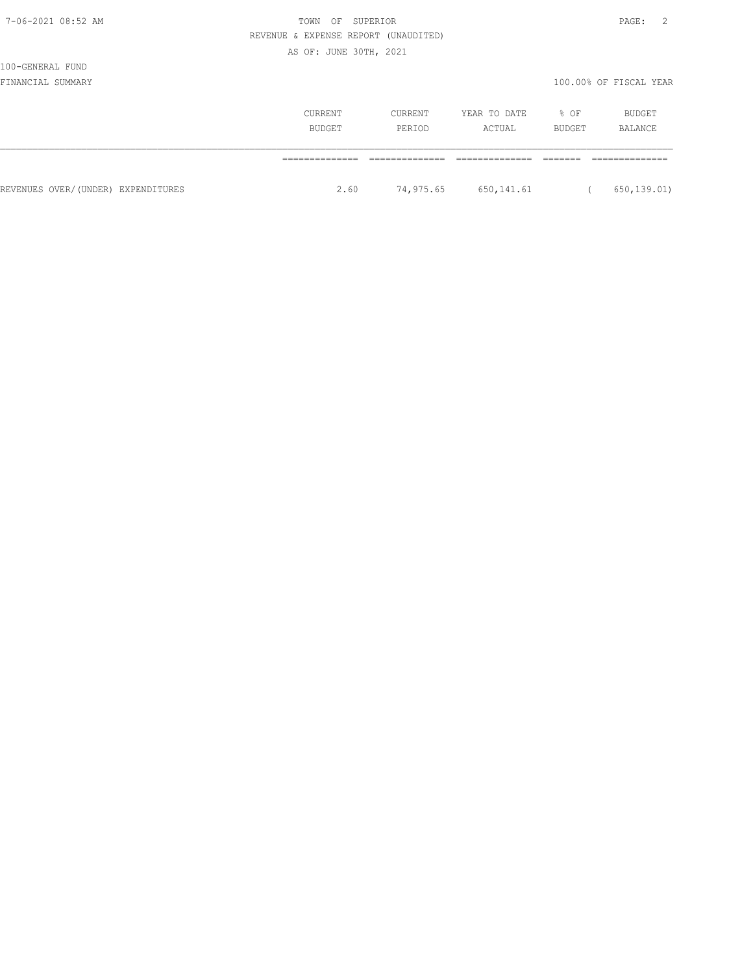| ×<br>I |  |
|--------|--|
|--------|--|

# 7-06-2021 08:52 AM  $\blacksquare$  REVENUE & EXPENSE REPORT (UNAUDITED) AS OF: JUNE 30TH, 2021

100-GENERAL FUND

|                                    | <b>CURRENT</b><br>BUDGET | CURRENT<br>PERIOD | YEAR TO DATE<br>ACTUAL | % OF<br>BUDGET | BUDGET<br>BALANCE |
|------------------------------------|--------------------------|-------------------|------------------------|----------------|-------------------|
|                                    |                          |                   |                        |                |                   |
| REVENUES OVER/(UNDER) EXPENDITURES | 2.60                     | 74,975.65         | 650,141.61             |                | 650, 139.01)      |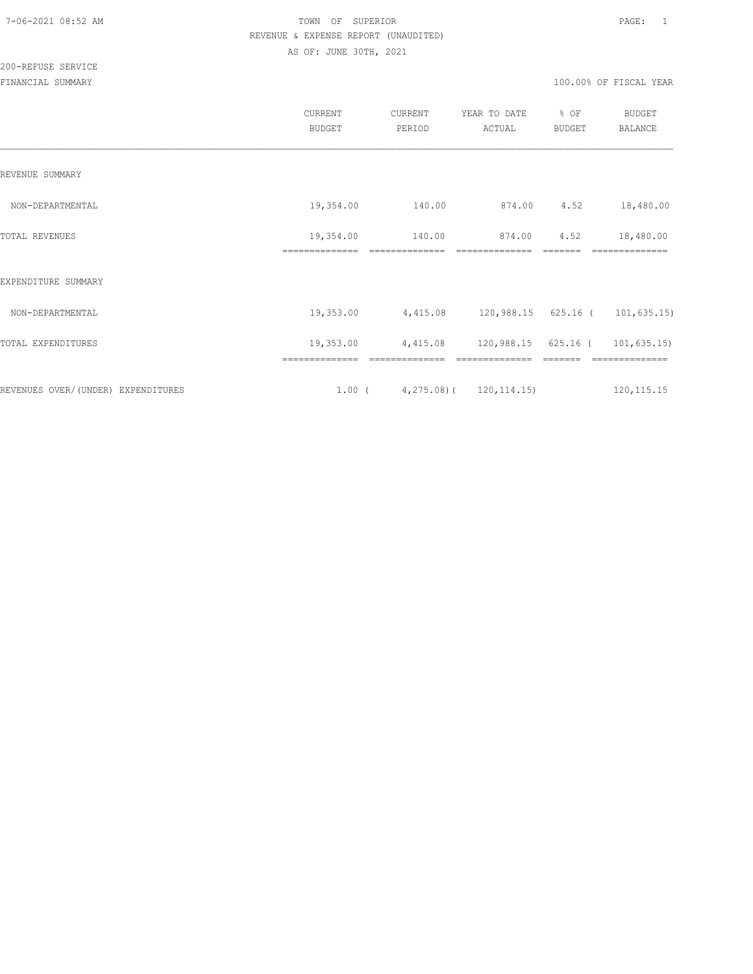|                                     | CURRENT<br><b>BUDGET</b>    | CURRENT<br>PERIOD                           | YEAR TO DATE<br>ACTUAL   | % OF<br><b>BUDGET</b> | <b>BUDGET</b><br>BALANCE |
|-------------------------------------|-----------------------------|---------------------------------------------|--------------------------|-----------------------|--------------------------|
| REVENUE SUMMARY                     |                             |                                             |                          |                       |                          |
| NON-DEPARTMENTAL                    | 19,354.00                   | 140.00                                      | 874.00                   | 4.52                  | 18,480.00                |
| TOTAL REVENUES                      | 19,354.00<br>============== | 140.00                                      | 874.00<br>============== | 4.52                  | 18,480.00                |
| EXPENDITURE SUMMARY                 |                             |                                             |                          |                       |                          |
| NON-DEPARTMENTAL                    | 19,353.00                   | 4,415.08                                    | 120,988.15 625.16 (      |                       | 101, 635.15)             |
| TOTAL EXPENDITURES                  | 19,353.00                   | 4,415.08                                    | 120,988.15 625.16 (      |                       | 101, 635.15)             |
| REVENUES OVER/ (UNDER) EXPENDITURES |                             | 1.00 ( $\qquad 4,275.08$ ) ( $120,114.15$ ) |                          |                       | 120, 115. 15             |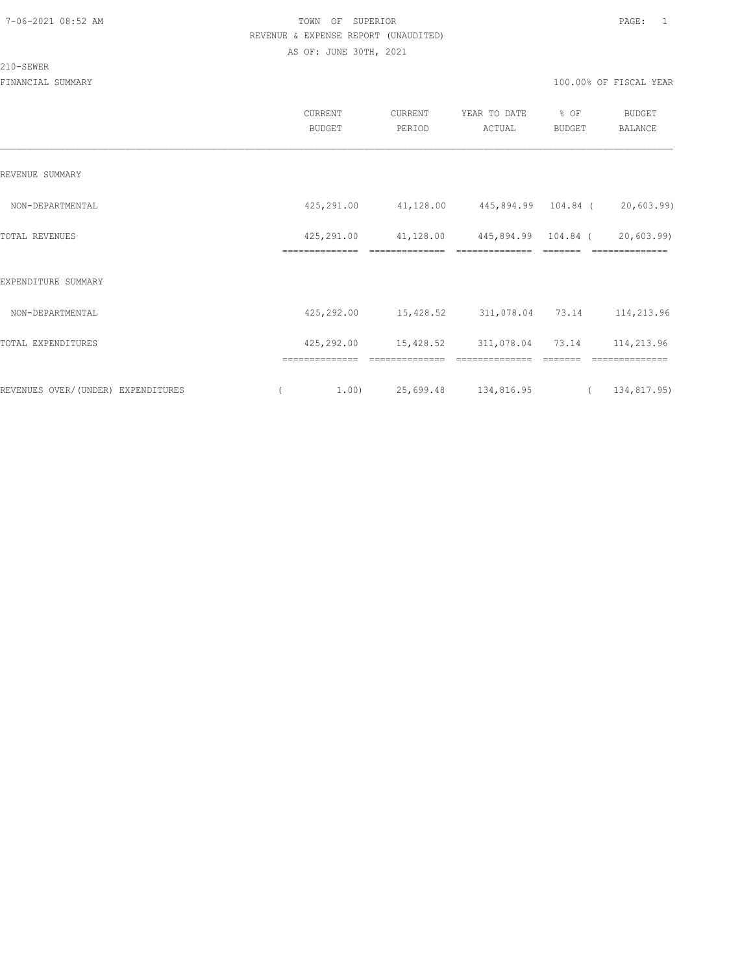# 210-SEWER

|                                    | CURRENT<br>BUDGET            | CURRENT<br>PERIOD           | YEAR TO DATE<br>ACTUAL                | % OF<br>BUDGET | <b>BUDGET</b><br><b>BALANCE</b> |
|------------------------------------|------------------------------|-----------------------------|---------------------------------------|----------------|---------------------------------|
| REVENUE SUMMARY                    |                              |                             |                                       |                |                                 |
| NON-DEPARTMENTAL                   | 425,291.00                   | 41,128.00                   | 445,894.99 104.84 (                   |                | 20,603.99)                      |
| TOTAL REVENUES                     | 425,291.00<br>============== | 41,128.00<br>============== | 445,894.99 104.84 (<br>============== |                | 20,603.99)<br>==============    |
| EXPENDITURE SUMMARY                |                              |                             |                                       |                |                                 |
| NON-DEPARTMENTAL                   | 425,292.00                   |                             | 15,428.52 311,078.04 73.14 114,213.96 |                |                                 |
| TOTAL EXPENDITURES                 | 425,292.00                   | 15,428.52                   | 311,078.04                            | 73.14          | 114,213.96                      |
|                                    |                              |                             |                                       |                |                                 |
| REVENUES OVER/(UNDER) EXPENDITURES | 1.00)                        | 25,699.48 134,816.95        |                                       | $\overline{a}$ | 134,817.95)                     |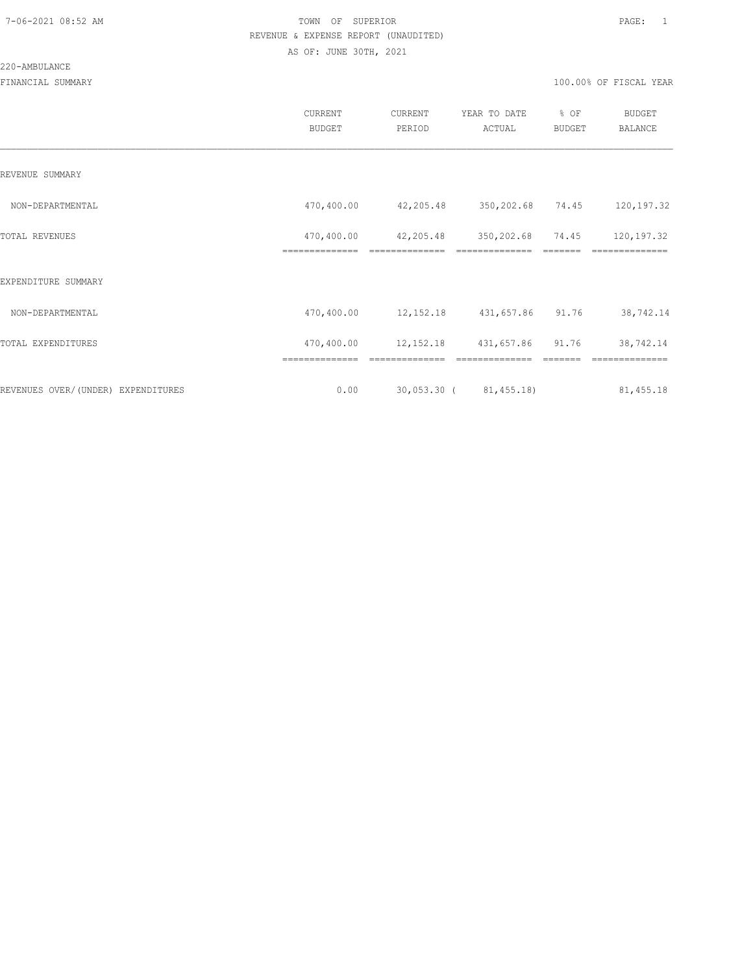|                                    | CURRENT<br><b>BUDGET</b>     | CURRENT<br>PERIOD            | YEAR TO DATE<br>ACTUAL          | % OF<br>BUDGET | BUDGET<br><b>BALANCE</b> |
|------------------------------------|------------------------------|------------------------------|---------------------------------|----------------|--------------------------|
| REVENUE SUMMARY                    |                              |                              |                                 |                |                          |
| NON-DEPARTMENTAL                   | 470,400.00                   | 42,205.48                    | 350,202.68 74.45                |                | 120,197.32               |
| TOTAL REVENUES                     | 470,400.00<br>============== | 42,205.48<br>==============  | 350,202.68                      | 74.45          | 120,197.32<br>========== |
| EXPENDITURE SUMMARY                |                              |                              |                                 |                |                          |
| NON-DEPARTMENTAL                   | 470,400.00                   | 12, 152.18 431, 657.86 91.76 |                                 |                | 38,742.14                |
| TOTAL EXPENDITURES                 | 470,400.00                   |                              | 12, 152. 18 431, 657. 86 91. 76 |                | 38,742.14                |
|                                    | ==============               | ==============               | ==============                  |                | ==============           |
| REVENUES OVER/(UNDER) EXPENDITURES | 0.00                         |                              | 30,053.30 ( 81,455.18)          |                | 81, 455.18               |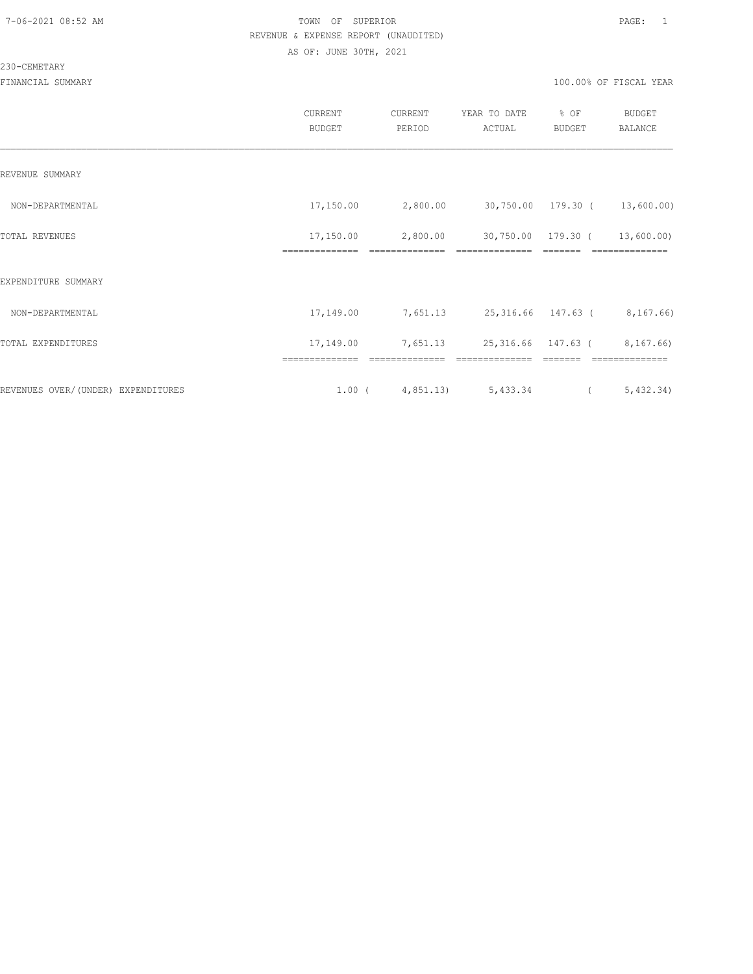#### 230-CEMETARY

|                                     | CURRENT<br><b>BUDGET</b> | CURRENT<br>PERIOD                | YEAR TO DATE<br>ACTUAL                              | % OF<br>BUDGET | <b>BUDGET</b><br>BALANCE |
|-------------------------------------|--------------------------|----------------------------------|-----------------------------------------------------|----------------|--------------------------|
| REVENUE SUMMARY                     |                          |                                  |                                                     |                |                          |
| NON-DEPARTMENTAL                    |                          | 17,150.00 2,800.00               | 30,750.00 179.30 ( 13,600.00)                       |                |                          |
| TOTAL REVENUES                      | 17,150.00                | 2,800.00                         | 30,750.00 179.30 ( 13,600.00)                       |                |                          |
| EXPENDITURE SUMMARY                 |                          |                                  |                                                     |                |                          |
| NON-DEPARTMENTAL                    | 17,149.00                |                                  | 7,651.13 25,316.66 147.63 ( 8,167.66)               |                |                          |
| TOTAL EXPENDITURES                  |                          |                                  | 17, 149.00 7, 651.13 25, 316.66 147.63 ( 8, 167.66) |                |                          |
| REVENUES OVER/ (UNDER) EXPENDITURES |                          | $1.00$ ( $4,851.13$ ) $5,433.34$ |                                                     | $\overline{a}$ | 5,432.34)                |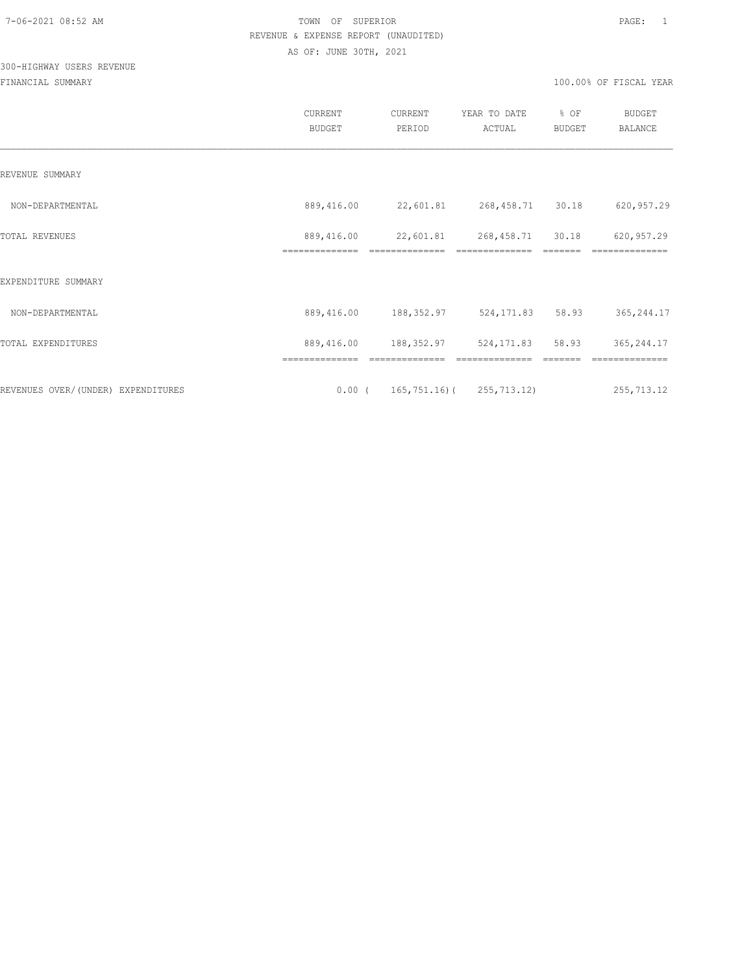# 300-HIGHWAY USERS REVENUE

|                                    | <b>CURRENT</b><br><b>BUDGET</b> | CURRENT<br>PERIOD                    | YEAR TO DATE<br>ACTUAL    | % OF<br><b>BUDGET</b> | <b>BUDGET</b><br><b>BALANCE</b> |
|------------------------------------|---------------------------------|--------------------------------------|---------------------------|-----------------------|---------------------------------|
| REVENUE SUMMARY                    |                                 |                                      |                           |                       |                                 |
| NON-DEPARTMENTAL                   | 889,416.00                      | 22,601.81                            | 268,458.71                | 30.18                 | 620,957.29                      |
| TOTAL REVENUES                     | 889,416.00<br>==============    | 22,601.81                            | 268,458.71<br>=========== | 30.18                 | 620, 957.29                     |
| EXPENDITURE SUMMARY                |                                 |                                      |                           |                       |                                 |
| NON-DEPARTMENTAL                   | 889,416.00                      | 188,352.97                           | 524,171.83                | 58.93                 | 365, 244.17                     |
| TOTAL EXPENDITURES                 | 889,416.00                      | 188,352.97                           | 524,171.83                | 58.93                 | 365,244.17                      |
|                                    |                                 |                                      |                           |                       |                                 |
| REVENUES OVER/(UNDER) EXPENDITURES |                                 | $0.00$ ( 165, 751.16) ( 255, 713.12) |                           |                       | 255, 713.12                     |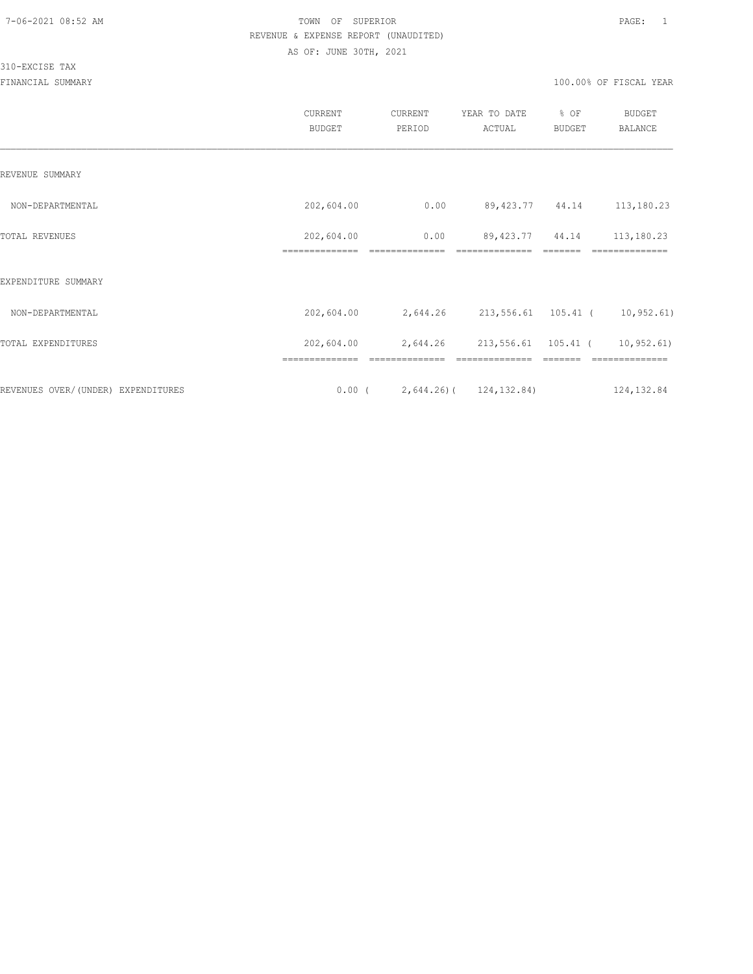#### 310-EXCISE TAX

|                                    | CURRENT<br><b>BUDGET</b>     | CURRENT<br>PERIOD                       | YEAR TO DATE<br>ACTUAL               | % OF<br><b>BUDGET</b> | <b>BUDGET</b><br><b>BALANCE</b> |
|------------------------------------|------------------------------|-----------------------------------------|--------------------------------------|-----------------------|---------------------------------|
| REVENUE SUMMARY                    |                              |                                         |                                      |                       |                                 |
| NON-DEPARTMENTAL                   | 202,604.00                   | 0.00                                    | 89,423.77 44.14                      |                       | 113,180.23                      |
| TOTAL REVENUES                     | 202,604.00<br>============== | 0.00<br>==============                  | 89, 423. 77 44. 14<br>============== |                       | 113,180.23<br>==========        |
| EXPENDITURE SUMMARY                |                              |                                         |                                      |                       |                                 |
| NON-DEPARTMENTAL                   | 202,604.00                   | 2,644.26 213,556.61 105.41 ( 10,952.61) |                                      |                       |                                 |
| TOTAL EXPENDITURES                 | 202,604.00                   | 2,644.26                                | 213,556.61 105.41 (                  |                       | 10, 952.61)                     |
| REVENUES OVER/(UNDER) EXPENDITURES |                              | $0.00$ ( 2,644.26) ( 124,132.84)        |                                      |                       | 124, 132.84                     |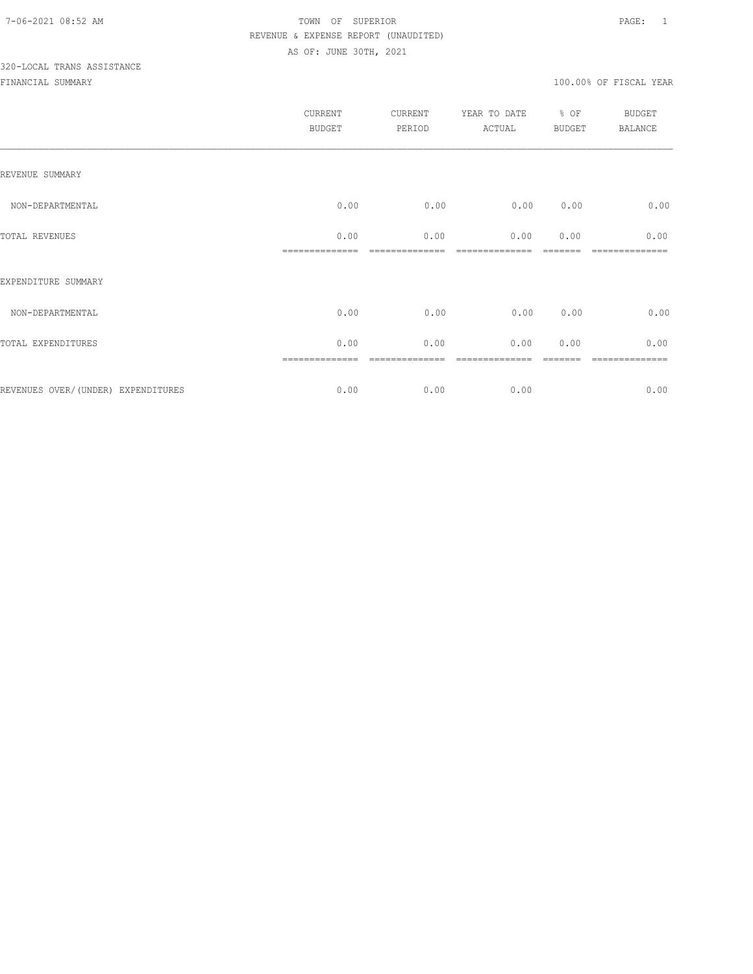# 320-LOCAL TRANS ASSISTANCE

|                                    | CURRENT<br>BUDGET | CURRENT<br>PERIOD | YEAR TO DATE<br>ACTUAL | % OF<br>BUDGET | BUDGET<br>BALANCE |
|------------------------------------|-------------------|-------------------|------------------------|----------------|-------------------|
| REVENUE SUMMARY                    |                   |                   |                        |                |                   |
| NON-DEPARTMENTAL                   | 0.00              | 0.00              | 0.00                   | 0.00           | 0.00              |
| TOTAL REVENUES                     | 0.00              | 0.00              | 0.00                   | 0.00           | 0.00              |
| EXPENDITURE SUMMARY                |                   |                   |                        |                |                   |
| NON-DEPARTMENTAL                   | 0.00              | 0.00              | 0.00                   | 0.00           | 0.00              |
| TOTAL EXPENDITURES                 | 0.00              | 0.00              | 0.00                   | 0.00           | 0.00              |
| REVENUES OVER/(UNDER) EXPENDITURES | 0.00              | 0.00              | 0.00                   |                | 0.00              |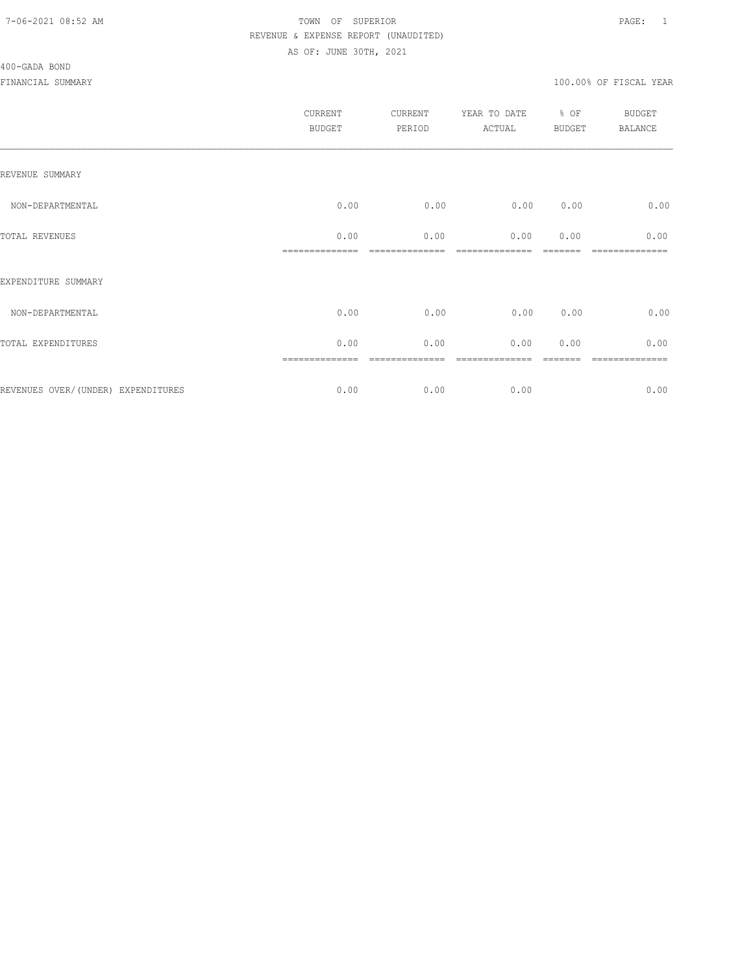#### 400-GADA BOND

| CURRENT<br><b>BUDGET</b> | CURRENT<br>PERIOD | YEAR TO DATE<br>ACTUAL | BUDGET | <b>BUDGET</b><br>BALANCE |
|--------------------------|-------------------|------------------------|--------|--------------------------|
|                          |                   |                        |        |                          |
| 0.00                     | 0.00              | 0.00                   | 0.00   | 0.00                     |
| 0.00                     | 0.00              | 0.00                   | 0.00   | 0.00                     |
|                          |                   |                        |        |                          |
| 0.00                     | 0.00              | 0.00                   | 0.00   | 0.00                     |
| 0.00                     | 0.00              | 0.00                   | 0.00   | 0.00                     |
| 0.00                     | 0.00              | 0.00                   |        | -----------<br>0.00      |
|                          | ==============    |                        |        | % OF                     |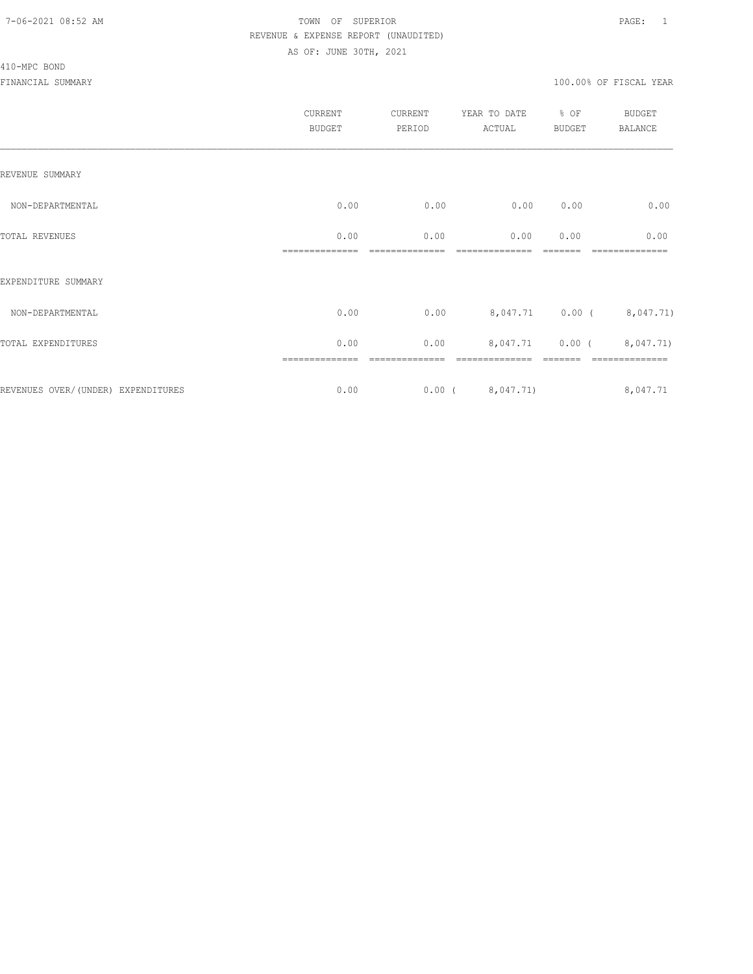#### 410-MPC BOND

|                                     | <b>CURRENT</b><br><b>BUDGET</b> | CURRENT<br>PERIOD | YEAR TO DATE<br>ACTUAL | % OF<br><b>BUDGET</b> | BUDGET<br>BALANCE        |
|-------------------------------------|---------------------------------|-------------------|------------------------|-----------------------|--------------------------|
| REVENUE SUMMARY                     |                                 |                   |                        |                       |                          |
| NON-DEPARTMENTAL                    | 0.00                            | 0.00              | 0.00                   | 0.00                  | 0.00                     |
| TOTAL REVENUES                      | 0.00                            | 0.00              | 0.00                   | 0.00                  | 0.00                     |
| EXPENDITURE SUMMARY                 |                                 |                   |                        |                       |                          |
| NON-DEPARTMENTAL                    | 0.00                            | 0.00              |                        |                       | 8,047.71 0.00 (8,047.71) |
| TOTAL EXPENDITURES                  | 0.00                            | 0.00              |                        |                       | 8,047.71 0.00 (8,047.71) |
| REVENUES OVER/ (UNDER) EXPENDITURES | ==============<br>0.00          |                   | $0.00$ ( $8,047.71$ )  |                       | 8,047.71                 |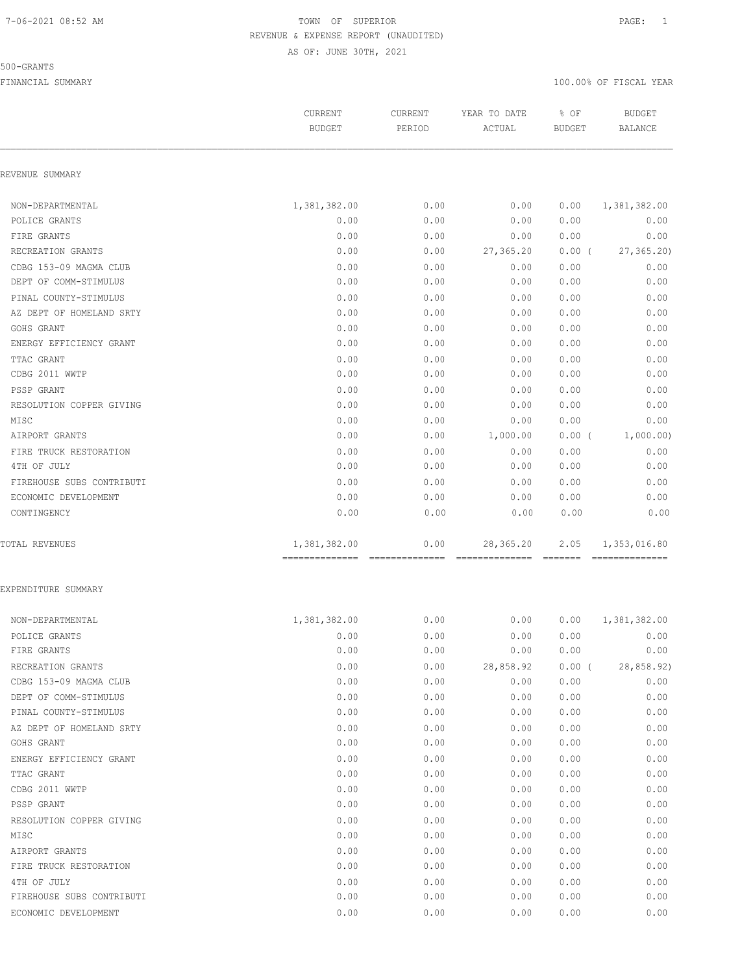#### 500-GRANTS

|                           | CURRENT                                        | CURRENT | YEAR TO DATE                         | % OF          | <b>BUDGET</b>                  |
|---------------------------|------------------------------------------------|---------|--------------------------------------|---------------|--------------------------------|
|                           | <b>BUDGET</b>                                  | PERIOD  | ACTUAL                               | <b>BUDGET</b> | <b>BALANCE</b>                 |
| REVENUE SUMMARY           |                                                |         |                                      |               |                                |
| NON-DEPARTMENTAL          | 1,381,382.00                                   | 0.00    | 0.00                                 | 0.00          | 1,381,382.00                   |
| POLICE GRANTS             | 0.00                                           | 0.00    | 0.00                                 | 0.00          | 0.00                           |
| FIRE GRANTS               | 0.00                                           | 0.00    | 0.00                                 | 0.00          | 0.00                           |
| RECREATION GRANTS         | 0.00                                           | 0.00    | 27,365.20                            | $0.00$ (      | 27, 365.20                     |
| CDBG 153-09 MAGMA CLUB    | 0.00                                           | 0.00    | 0.00                                 | 0.00          | 0.00                           |
| DEPT OF COMM-STIMULUS     | 0.00                                           | 0.00    | 0.00                                 | 0.00          | 0.00                           |
| PINAL COUNTY-STIMULUS     | 0.00                                           | 0.00    | 0.00                                 | 0.00          | 0.00                           |
| AZ DEPT OF HOMELAND SRTY  | 0.00                                           | 0.00    | 0.00                                 | 0.00          | 0.00                           |
| GOHS GRANT                | 0.00                                           | 0.00    | 0.00                                 | 0.00          | 0.00                           |
| ENERGY EFFICIENCY GRANT   | 0.00                                           | 0.00    | 0.00                                 | 0.00          | 0.00                           |
| TTAC GRANT                | 0.00                                           | 0.00    | 0.00                                 | 0.00          | 0.00                           |
| CDBG 2011 WWTP            | 0.00                                           | 0.00    | 0.00                                 | 0.00          | 0.00                           |
| PSSP GRANT                | 0.00                                           | 0.00    | 0.00                                 | 0.00          | 0.00                           |
| RESOLUTION COPPER GIVING  | 0.00                                           | 0.00    | 0.00                                 | 0.00          | 0.00                           |
| MISC                      | 0.00                                           | 0.00    | 0.00                                 | 0.00          | 0.00                           |
| AIRPORT GRANTS            | 0.00                                           | 0.00    | 1,000.00                             | $0.00$ (      | 1,000.00)                      |
| FIRE TRUCK RESTORATION    | 0.00                                           | 0.00    | 0.00                                 | 0.00          | 0.00                           |
| 4TH OF JULY               | 0.00                                           | 0.00    | 0.00                                 | 0.00          | 0.00                           |
| FIREHOUSE SUBS CONTRIBUTI | 0.00                                           | 0.00    | 0.00                                 | 0.00          | 0.00                           |
| ECONOMIC DEVELOPMENT      | 0.00                                           | 0.00    | 0.00                                 | 0.00          | 0.00                           |
| CONTINGENCY               | 0.00                                           | 0.00    | 0.00                                 | 0.00          | 0.00                           |
| <b>TOTAL REVENUES</b>     | 1,381,382.00<br>============================== | 0.00    | 28, 365.20<br>--------------- ------ | 2.05          | 1,353,016.80<br>-------------- |
| EXPENDITURE SUMMARY       |                                                |         |                                      |               |                                |
| NON-DEPARTMENTAL          | 1,381,382.00                                   | 0.00    | 0.00                                 | 0.00          | 1,381,382.00                   |
| POLICE GRANTS             | 0.00                                           | 0.00    | 0.00                                 | 0.00          | 0.00                           |
| FIRE GRANTS               | 0.00                                           | 0.00    | 0.00                                 | 0.00          | 0.00                           |
| RECREATION GRANTS         | 0.00                                           | 0.00    | 28,858.92                            | $0.00$ (      | 28,858.92)                     |
| CDBG 153-09 MAGMA CLUB    | 0.00                                           | 0.00    | 0.00                                 | 0.00          | 0.00                           |
| DEPT OF COMM-STIMULUS     | 0.00                                           | 0.00    | 0.00                                 | 0.00          | 0.00                           |
| PINAL COUNTY-STIMULUS     | 0.00                                           | 0.00    | 0.00                                 | 0.00          | 0.00                           |
| AZ DEPT OF HOMELAND SRTY  | 0.00                                           | 0.00    | 0.00                                 | 0.00          | 0.00                           |
| GOHS GRANT                | 0.00                                           | 0.00    | 0.00                                 | 0.00          | 0.00                           |
| ENERGY EFFICIENCY GRANT   | 0.00                                           | 0.00    | 0.00                                 | 0.00          | 0.00                           |
| TTAC GRANT                | 0.00                                           | 0.00    | 0.00                                 | 0.00          | 0.00                           |
| CDBG 2011 WWTP            | 0.00                                           | 0.00    | 0.00                                 | 0.00          | 0.00                           |
| PSSP GRANT                | 0.00                                           | 0.00    | 0.00                                 | 0.00          | 0.00                           |
| RESOLUTION COPPER GIVING  | 0.00                                           | 0.00    | 0.00                                 | 0.00          | 0.00                           |
| MISC                      | 0.00                                           | 0.00    | 0.00                                 | 0.00          | 0.00                           |
| AIRPORT GRANTS            | 0.00                                           | 0.00    | 0.00                                 | 0.00          | 0.00                           |
| FIRE TRUCK RESTORATION    | 0.00                                           | 0.00    | 0.00                                 | 0.00          | 0.00                           |
| 4TH OF JULY               | 0.00                                           | 0.00    | 0.00                                 | 0.00          | 0.00                           |
| FIREHOUSE SUBS CONTRIBUTI | 0.00                                           | 0.00    | 0.00                                 | 0.00          | 0.00                           |
| ECONOMIC DEVELOPMENT      | 0.00                                           | 0.00    | 0.00                                 | 0.00          | 0.00                           |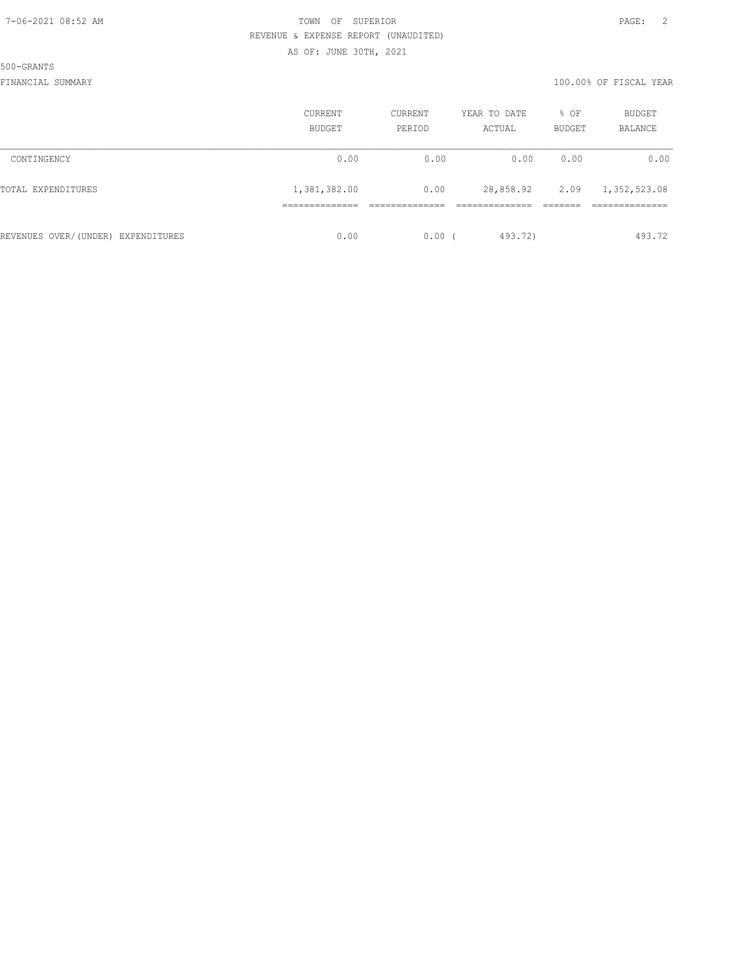500-GRANTS

|                                    | <b>CURRENT</b><br>BUDGET | CURRENT<br>PERIOD | YEAR TO DATE<br>ACTUAL | % OF<br>BUDGET | <b>BUDGET</b><br>BALANCE |
|------------------------------------|--------------------------|-------------------|------------------------|----------------|--------------------------|
| CONTINGENCY                        | 0.00                     | 0.00              | 0.00                   | 0.00           | 0.00                     |
| TOTAL EXPENDITURES                 | 1,381,382.00             | 0.00              | 28,858.92              | 2.09           | 1,352,523.08             |
|                                    |                          |                   |                        |                |                          |
| REVENUES OVER/(UNDER) EXPENDITURES | 0.00                     | $0.00$ (          | 493.72)                |                | 493.72                   |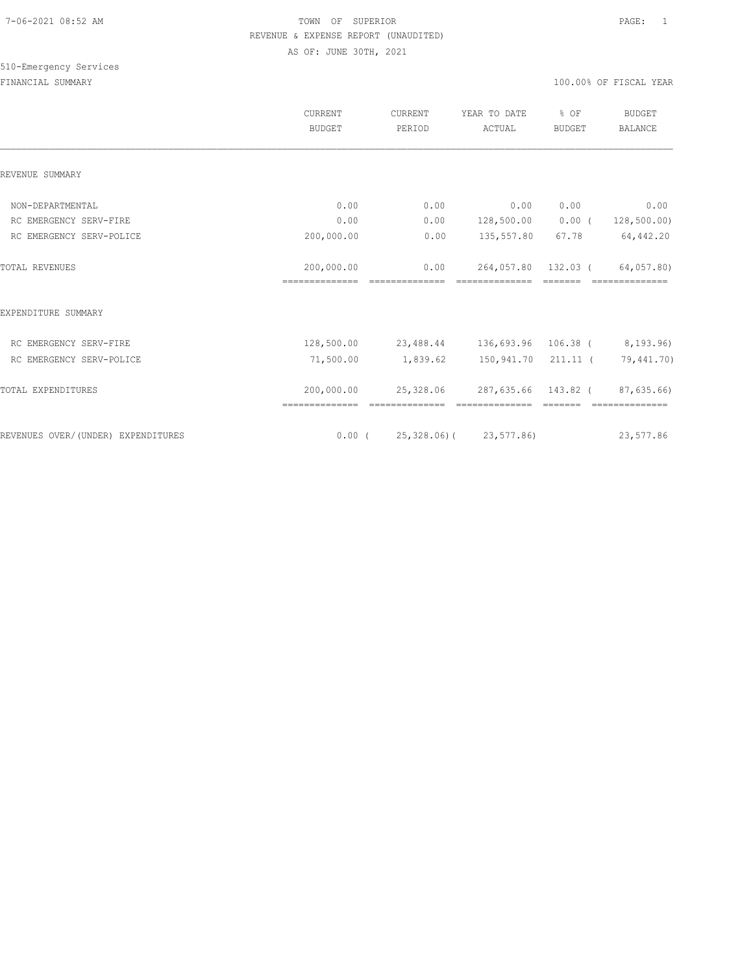# 510-Emergency Services

|                                    | <b>CURRENT</b><br><b>BUDGET</b> | <b>CURRENT</b><br>PERIOD | YEAR TO DATE<br>ACTUAL           | % OF<br><b>BUDGET</b> | <b>BUDGET</b><br><b>BALANCE</b> |
|------------------------------------|---------------------------------|--------------------------|----------------------------------|-----------------------|---------------------------------|
| REVENUE SUMMARY                    |                                 |                          |                                  |                       |                                 |
| NON-DEPARTMENTAL                   | 0.00                            | 0.00                     | 0.00                             | 0.00                  | 0.00                            |
| RC EMERGENCY SERV-FIRE             | 0.00                            | 0.00                     | 128,500.00                       | 0.00(                 | 128, 500.00                     |
| RC EMERGENCY SERV-POLICE           | 200,000.00                      | 0.00                     | 135,557.80                       | 67.78                 | 64,442.20                       |
| <b>TOTAL REVENUES</b>              | 200,000.00<br>==============    | 0.00<br>---------------  | 264,057.80<br>--------------     | 132.03 (              | 64,057.80)<br>==============    |
| EXPENDITURE SUMMARY                |                                 |                          |                                  |                       |                                 |
| RC EMERGENCY SERV-FIRE             | 128,500.00                      |                          | 23,488.44 136,693.96 106.38 (    |                       | 8,193.96)                       |
| RC EMERGENCY SERV-POLICE           | 71,500.00                       | 1,839.62                 | 150,941.70 211.11 ( 79,441.70)   |                       |                                 |
| TOTAL EXPENDITURES                 | 200,000.00                      | 25,328.06                | 287,635.66 143.82 (              |                       | 87,635.66)                      |
| REVENUES OVER/(UNDER) EXPENDITURES |                                 |                          | $0.00$ ( 25,328.06) ( 23,577.86) |                       | 23,577.86                       |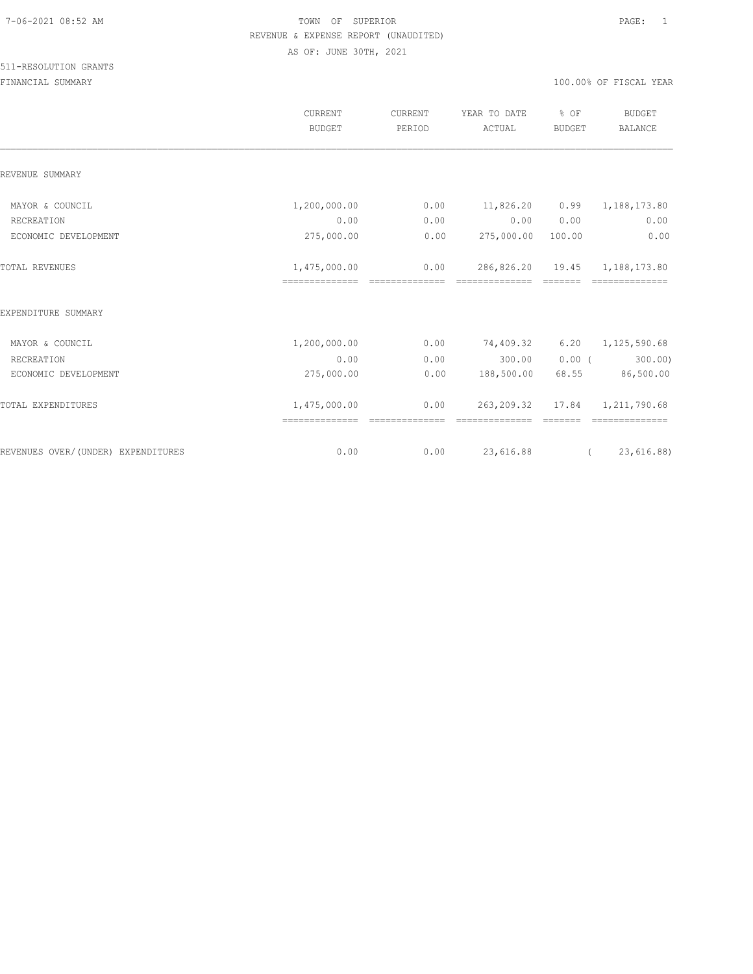|                                    | <b>CURRENT</b><br><b>BUDGET</b>                 | CURRENT<br>PERIOD       | YEAR TO DATE<br>ACTUAL       | % OF<br><b>BUDGET</b> | <b>BUDGET</b><br>BALANCE |
|------------------------------------|-------------------------------------------------|-------------------------|------------------------------|-----------------------|--------------------------|
| REVENUE SUMMARY                    |                                                 |                         |                              |                       |                          |
| MAYOR & COUNCIL                    | 1,200,000.00                                    | 0.00                    | 11,826.20                    | 0.99                  | 1,188,173.80             |
| RECREATION                         | 0.00                                            | 0.00                    | 0.00                         | 0.00                  | 0.00                     |
| ECONOMIC DEVELOPMENT               | 275,000.00                                      | 0.00                    | 275,000.00 100.00            |                       | 0.00                     |
| <b>TOTAL REVENUES</b>              | 1,475,000.00<br>--------------- --------------- | 0.00                    | 286,826.20<br>============== | 19.45                 | 1,188,173.80             |
| EXPENDITURE SUMMARY                |                                                 |                         |                              |                       |                          |
| MAYOR & COUNCIL                    | 1,200,000.00                                    | 0.00                    | 74,409.32                    | 6.20                  | 1,125,590.68             |
| RECREATION                         | 0.00                                            | 0.00                    | 300.00                       | 0.00(                 | 300.00)                  |
| ECONOMIC DEVELOPMENT               | 275,000.00                                      | 0.00                    | 188,500.00                   | 68.55                 | 86,500.00                |
| TOTAL EXPENDITURES                 | 1,475,000.00                                    | 0.00<br>--------------- | 263,209.32                   |                       | 17.84 1, 211, 790.68     |
| REVENUES OVER/(UNDER) EXPENDITURES | 0.00                                            | 0.00                    | 23,616.88                    |                       | 23,616.88)<br>$\sqrt{2}$ |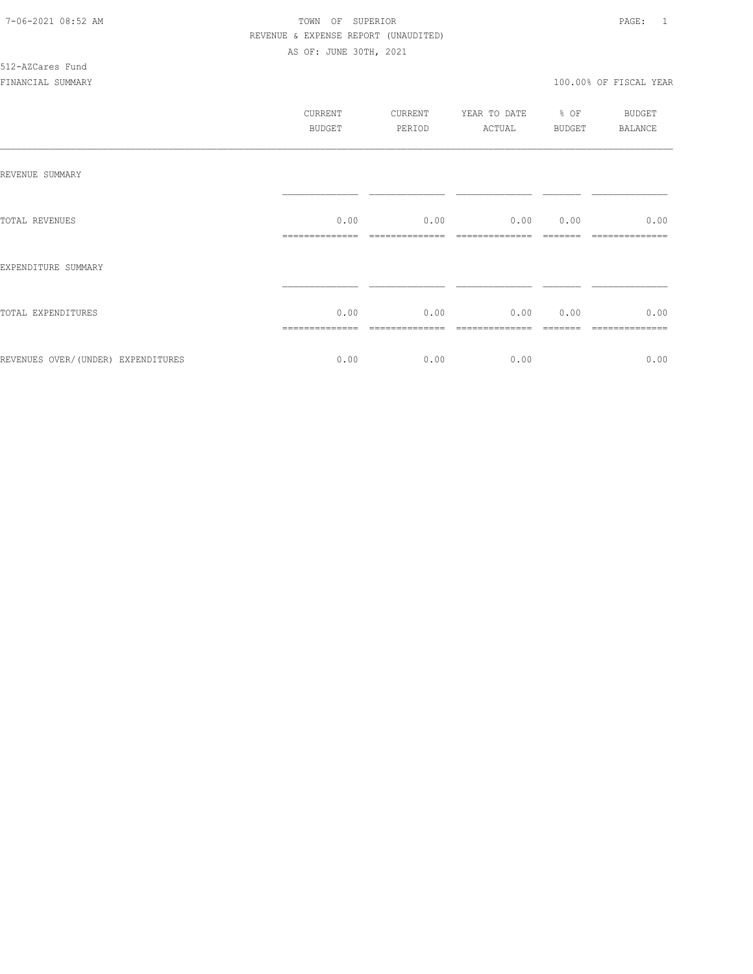# 512-AZCares Fund

|                                    | CURRENT<br>BUDGET      | CURRENT<br>PERIOD | YEAR TO DATE % OF<br>ACTUAL BUDGET | <b>BUDGET</b><br>BALANCE |
|------------------------------------|------------------------|-------------------|------------------------------------|--------------------------|
| REVENUE SUMMARY                    |                        |                   |                                    |                          |
| TOTAL REVENUES                     | 0.00<br>-------------- | 0.00              | 0.00 0.00                          | 0.00                     |
| EXPENDITURE SUMMARY                |                        |                   |                                    |                          |
| TOTAL EXPENDITURES                 | 0.00                   |                   | $0.00$ 0.00 0.00                   | 0.00                     |
| REVENUES OVER/(UNDER) EXPENDITURES | 0.00                   | 0.00              | 0.00                               | 0.00                     |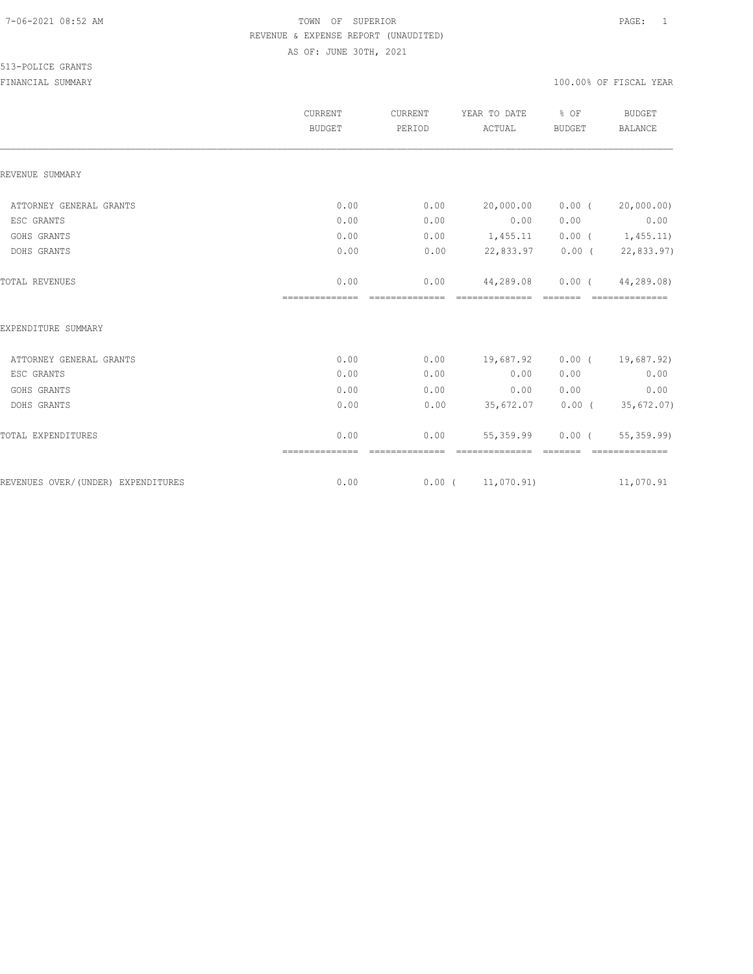|                                    | CURRENT<br><b>BUDGET</b> | CURRENT<br>PERIOD       | YEAR TO DATE<br>ACTUAL             | % OF<br><b>BUDGET</b> | <b>BUDGET</b><br><b>BALANCE</b> |
|------------------------------------|--------------------------|-------------------------|------------------------------------|-----------------------|---------------------------------|
| REVENUE SUMMARY                    |                          |                         |                                    |                       |                                 |
| ATTORNEY GENERAL GRANTS            | 0.00                     | 0.00                    | 20,000.00                          | $0.00$ (              | 20,000.00)                      |
| ESC GRANTS                         | 0.00                     | 0.00                    | 0.00                               | 0.00                  | 0.00                            |
| GOHS GRANTS                        | 0.00                     | 0.00                    | 1,455.11                           |                       | $0.00$ ( $1,455.11$ )           |
| DOHS GRANTS                        | 0.00                     | 0.00                    | 22,833.97                          |                       | $0.00$ ( 22,833.97)             |
| TOTAL REVENUES                     | 0.00<br>---------------  | 0.00<br>--------------- | 44,289.08<br>eccessessesses eccess | $0.00$ (              | 44,289.08)<br>essessessesses    |
| EXPENDITURE SUMMARY                |                          |                         |                                    |                       |                                 |
| ATTORNEY GENERAL GRANTS            | 0.00                     | 0.00                    | 19,687.92                          |                       | $0.00$ ( $19,687.92$ )          |
| ESC GRANTS                         | 0.00                     | 0.00                    | 0.00                               | 0.00                  | 0.00                            |
| GOHS GRANTS                        | 0.00                     | 0.00                    | 0.00                               | 0.00                  | 0.00                            |
| DOHS GRANTS                        | 0.00                     | 0.00                    | 35,672.07                          |                       | $0.00$ ( 35,672.07)             |
| TOTAL EXPENDITURES                 | 0.00<br>==============   | 0.00                    | 55,359.99                          | $0.00$ (              | 55, 359.99<br>==============    |
| REVENUES OVER/(UNDER) EXPENDITURES | 0.00                     |                         | $0.00$ ( $11,070.91$ )             |                       | 11,070.91                       |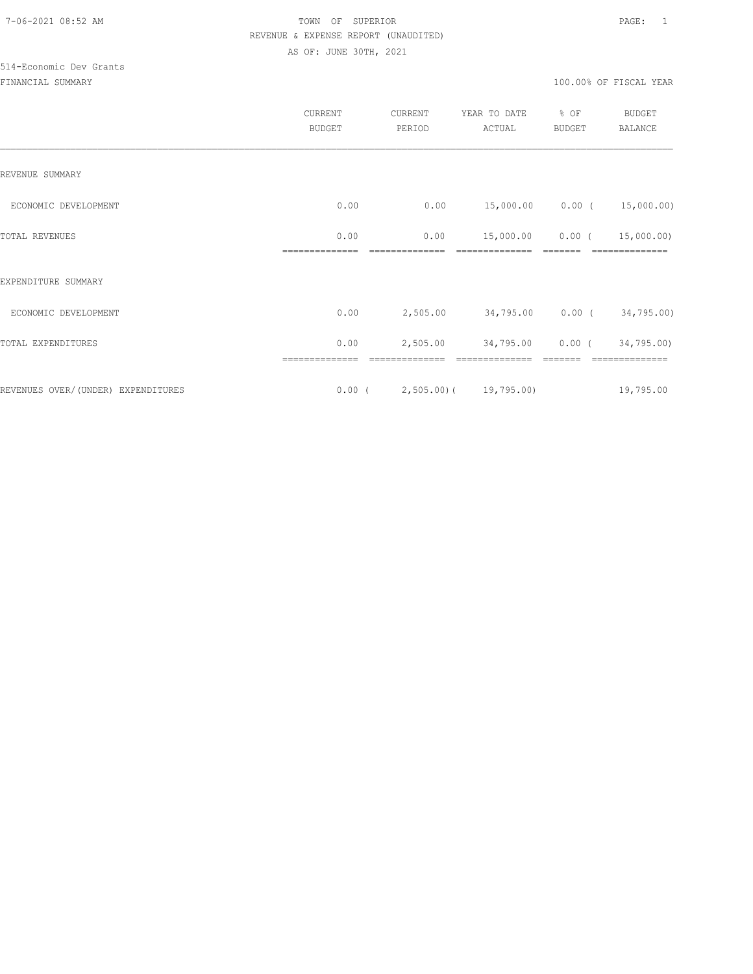# 514-Economic Dev Grants

| CURRENT<br><b>BUDGET</b> | CURRENT<br>PERIOD | YEAR TO DATE<br>ACTUAL | % OF<br><b>BUDGET</b>           | <b>BUDGET</b><br><b>BALANCE</b>                                           |
|--------------------------|-------------------|------------------------|---------------------------------|---------------------------------------------------------------------------|
|                          |                   |                        |                                 |                                                                           |
| 0.00                     | 0.00              |                        |                                 |                                                                           |
| 0.00                     | 0.00              | 15,000.00              | $0.00$ (                        | 15,000.00)                                                                |
|                          |                   |                        |                                 |                                                                           |
| 0.00                     | 2,505.00          |                        |                                 |                                                                           |
| 0.00                     | 2,505.00          | 34,795.00              |                                 | 34,795.00)                                                                |
|                          |                   |                        |                                 | 19,795.00                                                                 |
|                          |                   |                        | $0.00$ ( 2,505.00) ( 19,795.00) | 15,000.00   0.00 $($ 15,000.00)<br>34,795.00 0.00 (34,795.00)<br>$0.00$ ( |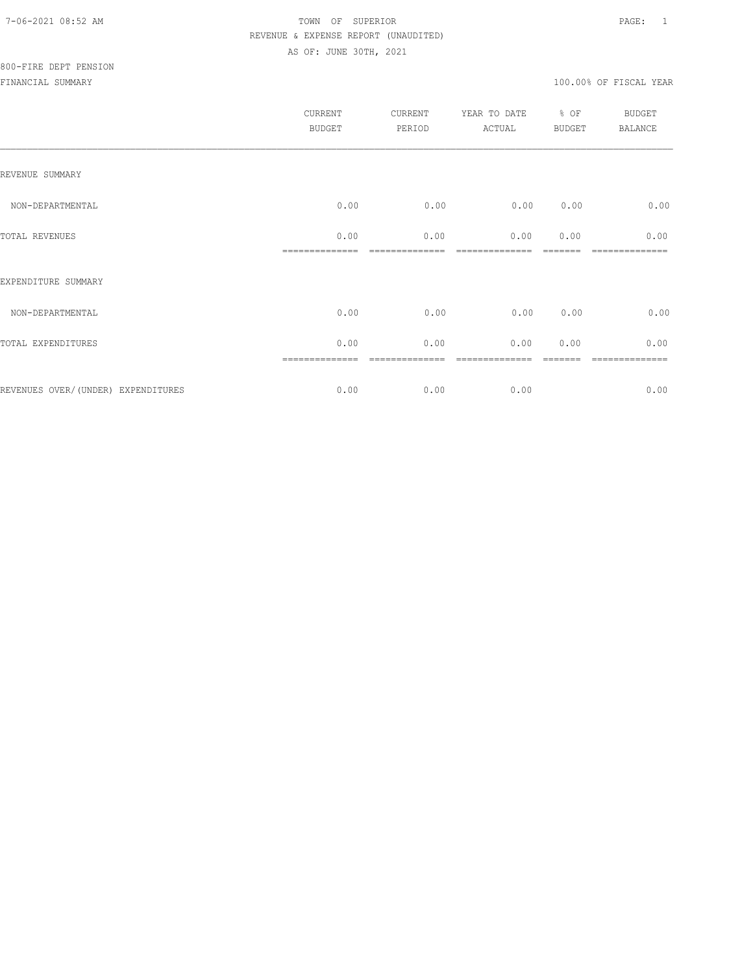|                                     | <b>CURRENT</b><br><b>BUDGET</b> | CURRENT<br>PERIOD | YEAR TO DATE<br>ACTUAL | % OF<br><b>BUDGET</b> | <b>BUDGET</b><br><b>BALANCE</b> |
|-------------------------------------|---------------------------------|-------------------|------------------------|-----------------------|---------------------------------|
| REVENUE SUMMARY                     |                                 |                   |                        |                       |                                 |
| NON-DEPARTMENTAL                    | 0.00                            | 0.00              | 0.00                   | 0.00                  | 0.00                            |
| <b>TOTAL REVENUES</b>               | 0.00                            | 0.00              | 0.00                   | 0.00                  | 0.00                            |
| EXPENDITURE SUMMARY                 |                                 |                   |                        |                       |                                 |
| NON-DEPARTMENTAL                    | 0.00                            | 0.00              | 0.00                   | 0.00                  | 0.00                            |
| TOTAL EXPENDITURES                  | 0.00                            | 0.00              | 0.00                   | 0.00                  | 0.00                            |
| REVENUES OVER/ (UNDER) EXPENDITURES | 0.00                            | 0.00              | 0.00                   |                       | ---------<br>0.00               |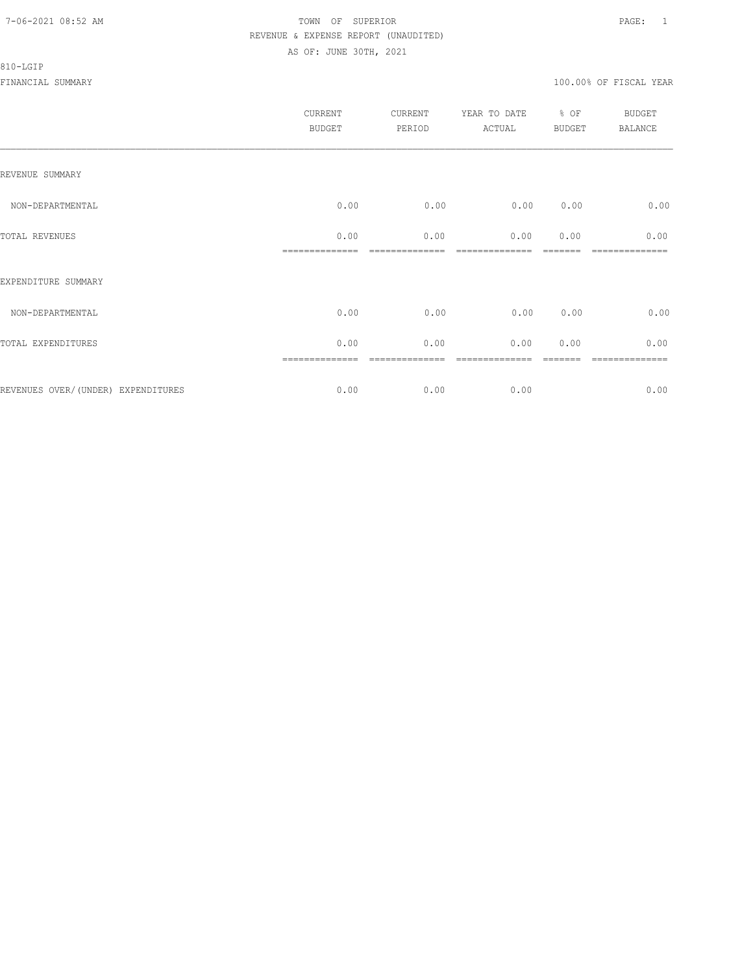#### 810-LGIP

|                                     | CURRENT<br><b>BUDGET</b> | CURRENT<br>PERIOD | YEAR TO DATE % OF<br><b>ACTUAL</b> | <b>BUDGET</b> | BUDGET<br><b>BALANCE</b> |
|-------------------------------------|--------------------------|-------------------|------------------------------------|---------------|--------------------------|
| REVENUE SUMMARY                     |                          |                   |                                    |               |                          |
| NON-DEPARTMENTAL                    | 0.00                     | 0.00              | 0.00                               | 0.00          | 0.00                     |
| TOTAL REVENUES                      | 0.00                     | 0.00              | 0.00                               | 0.00          | 0.00                     |
| EXPENDITURE SUMMARY                 |                          |                   |                                    |               |                          |
| NON-DEPARTMENTAL                    | 0.00                     | 0.00              | 0.00                               | 0.00          | 0.00                     |
| TOTAL EXPENDITURES                  | 0.00                     | 0.00              | 0.00                               | 0.00          | 0.00                     |
|                                     |                          |                   |                                    |               | =========                |
| REVENUES OVER/ (UNDER) EXPENDITURES | 0.00                     | 0.00              | 0.00                               |               | 0.00                     |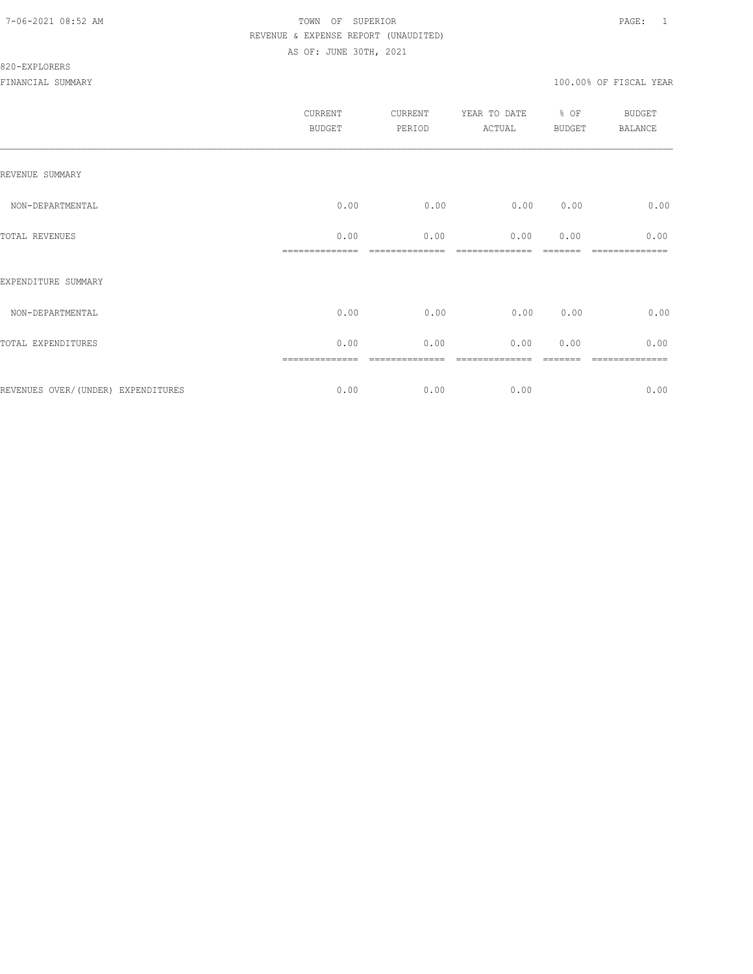#### 820-EXPLORERS

| CURRENT<br><b>BUDGET</b> | CURRENT<br>PERIOD | YEAR TO DATE<br>ACTUAL | BUDGET | <b>BUDGET</b><br>BALANCE |
|--------------------------|-------------------|------------------------|--------|--------------------------|
|                          |                   |                        |        |                          |
| 0.00                     | 0.00              | 0.00                   | 0.00   | 0.00                     |
| 0.00                     | 0.00              | 0.00                   | 0.00   | 0.00                     |
|                          |                   |                        |        |                          |
| 0.00                     | 0.00              | 0.00                   | 0.00   | 0.00                     |
| 0.00                     | 0.00              | 0.00                   | 0.00   | 0.00                     |
| 0.00                     | 0.00              | 0.00                   |        | -----------<br>0.00      |
|                          | ==============    |                        |        | % OF                     |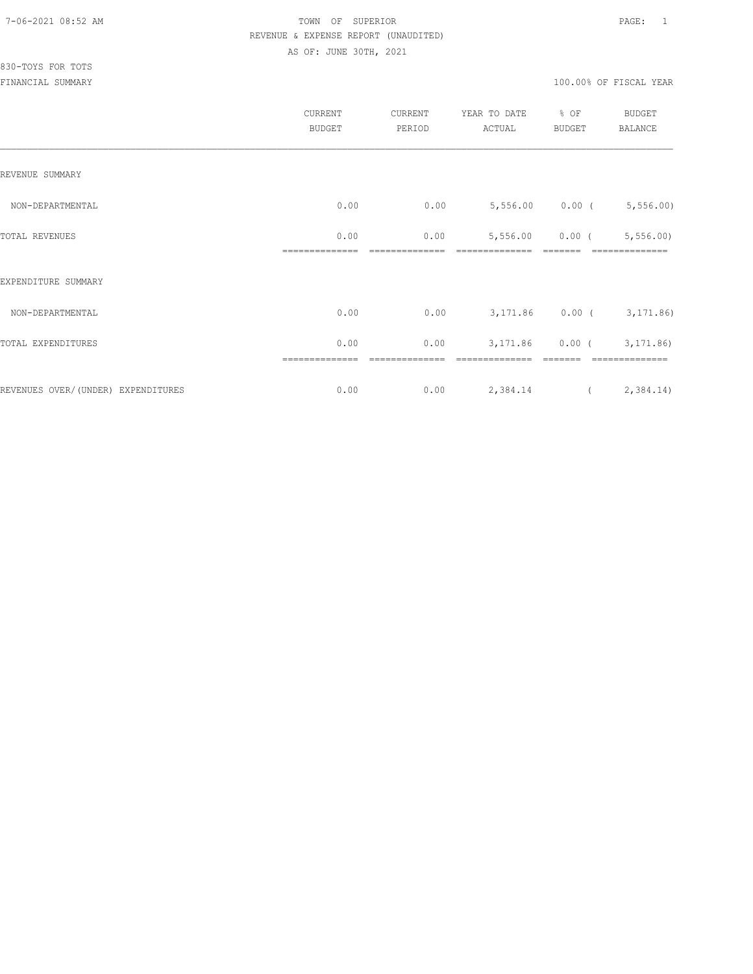|                                    | CURRENT<br><b>BUDGET</b> | CURRENT<br>PERIOD | YEAR TO DATE<br>ACTUAL      | % OF<br>BUDGET    | BUDGET<br>BALANCE |
|------------------------------------|--------------------------|-------------------|-----------------------------|-------------------|-------------------|
| REVENUE SUMMARY                    |                          |                   |                             |                   |                   |
| NON-DEPARTMENTAL                   | 0.00                     | 0.00              | $5,556.00$ 0.00 ( 5,556.00) |                   |                   |
| TOTAL REVENUES                     | 0.00                     | 0.00              |                             | $5,556.00$ 0.00 ( | 5,556.00          |
| EXPENDITURE SUMMARY                |                          |                   |                             |                   |                   |
| NON-DEPARTMENTAL                   | 0.00                     | 0.00              | 3, 171.86 0.00 (3, 171.86)  |                   |                   |
| TOTAL EXPENDITURES                 | 0.00                     | 0.00              |                             | $3,171.86$ 0.00 ( | 3,171.86)         |
| REVENUES OVER/(UNDER) EXPENDITURES | 0.00                     | 0.00              | 2,384.14                    |                   | (2, 384.14)       |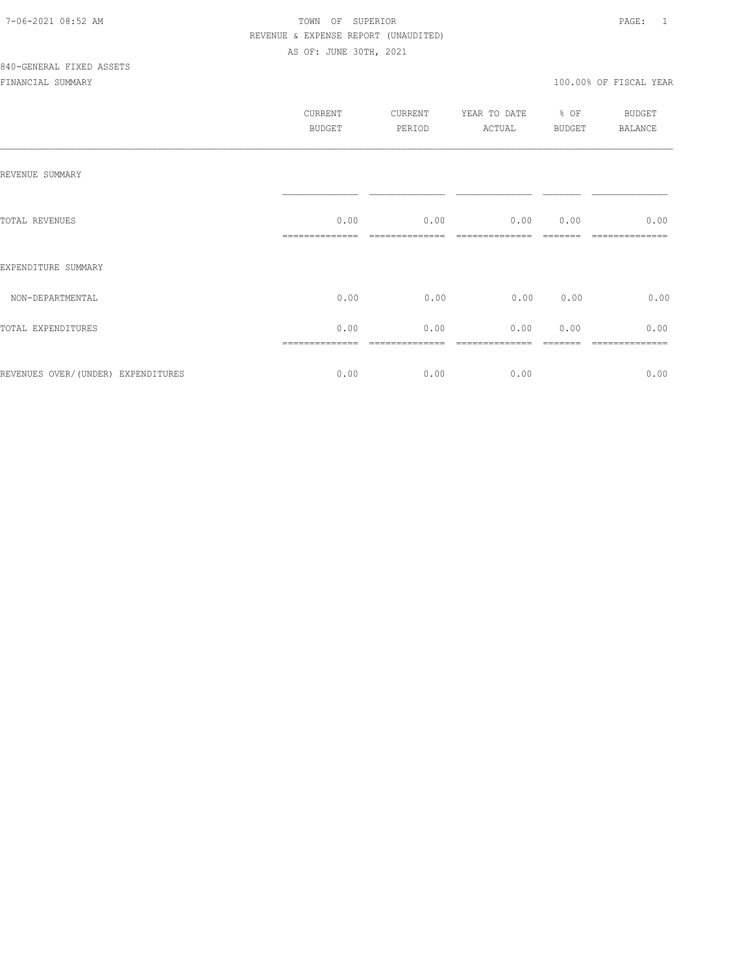|                                     | CURRENT<br><b>BUDGET</b> | CURRENT<br>PERIOD | YEAR TO DATE<br>ACTUAL | % OF<br>BUDGET | <b>BUDGET</b><br>BALANCE |
|-------------------------------------|--------------------------|-------------------|------------------------|----------------|--------------------------|
| REVENUE SUMMARY                     |                          |                   |                        |                |                          |
| TOTAL REVENUES                      | 0.00                     | 0.00              | 0.00                   | 0.00           | 0.00                     |
| EXPENDITURE SUMMARY                 |                          |                   |                        |                |                          |
| NON-DEPARTMENTAL                    | 0.00                     | 0.00              | 0.00                   | 0.00           | 0.00                     |
| TOTAL EXPENDITURES                  | 0.00                     | 0.00              | 0.00                   | 0.00           | 0.00                     |
| REVENUES OVER/ (UNDER) EXPENDITURES | 0.00                     | 0.00              | 0.00                   |                | 0.00                     |